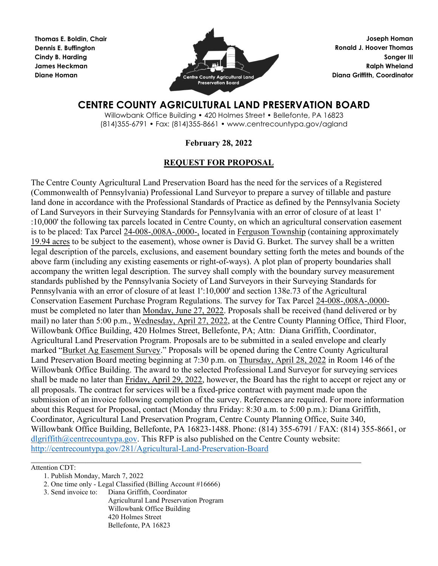**Thomas E. Boldin, Chair Dennis E. Buffington Cindy B. Harding James Heckman Diane Homan** 



**Joseph Homan Ronald J. Hoover Thomas Songer III Ralph Wheland Diana Griffith, Coordinator** 

# **CENTRE COUNTY AGRICULTURAL LAND PRESERVATION BOARD**

Willowbank Office Building • 420 Holmes Street • Bellefonte, PA 16823 (814)355-6791 • Fax: (814)355-8661 • www.centrecountypa.gov/agland

# **February 28, 2022**

# **REQUEST FOR PROPOSAL**

The Centre County Agricultural Land Preservation Board has the need for the services of a Registered (Commonwealth of Pennsylvania) Professional Land Surveyor to prepare a survey of tillable and pasture land done in accordance with the Professional Standards of Practice as defined by the Pennsylvania Society of Land Surveyors in their Surveying Standards for Pennsylvania with an error of closure of at least 1' :10,000' the following tax parcels located in Centre County, on which an agricultural conservation easement is to be placed: Tax Parcel 24-008-,008A-,0000-, located in Ferguson Township (containing approximately 19.94 acres to be subject to the easement), whose owner is David G. Burket. The survey shall be a written legal description of the parcels, exclusions, and easement boundary setting forth the metes and bounds of the above farm (including any existing easements or right-of-ways). A plot plan of property boundaries shall accompany the written legal description. The survey shall comply with the boundary survey measurement standards published by the Pennsylvania Society of Land Surveyors in their Surveying Standards for Pennsylvania with an error of closure of at least 1':10,000' and section 138e.73 of the Agricultural Conservation Easement Purchase Program Regulations. The survey for Tax Parcel 24-008-,008A-,0000 must be completed no later than Monday, June 27, 2022. Proposals shall be received (hand delivered or by mail) no later than 5:00 p.m., Wednesday, April 27, 2022, at the Centre County Planning Office, Third Floor, Willowbank Office Building, 420 Holmes Street, Bellefonte, PA; Attn: Diana Griffith, Coordinator, Agricultural Land Preservation Program. Proposals are to be submitted in a sealed envelope and clearly marked "Burket Ag Easement Survey." Proposals will be opened during the Centre County Agricultural Land Preservation Board meeting beginning at 7:30 p.m. on Thursday, April 28, 2022 in Room 146 of the Willowbank Office Building. The award to the selected Professional Land Surveyor for surveying services shall be made no later than Friday, April 29, 2022, however, the Board has the right to accept or reject any or all proposals. The contract for services will be a fixed-price contract with payment made upon the submission of an invoice following completion of the survey. References are required. For more information about this Request for Proposal, contact (Monday thru Friday: 8:30 a.m. to 5:00 p.m.): Diana Griffith, Coordinator, Agricultural Land Preservation Program, Centre County Planning Office, Suite 340, Willowbank Office Building, Bellefonte, PA 16823-1488. Phone: (814) 355-6791 / FAX: (814) 355-8661, or [dlgriffith@centrecountypa.gov.](mailto:dlgriffith@centrecountypa.gov) This RFP is also published on the Centre County website: <http://centrecountypa.gov/281/Agricultural-Land-Preservation-Board>

\_\_\_\_\_\_\_\_\_\_\_\_\_\_\_\_\_\_\_\_\_\_\_\_\_\_\_\_\_\_\_\_\_\_\_\_\_\_\_\_\_\_\_\_\_\_\_\_\_\_\_\_\_\_\_\_\_\_\_\_\_\_\_\_\_\_\_\_\_\_\_\_\_\_\_\_\_ Attention CDT:

3. Send invoice to: Diana Griffith, Coordinator

Agricultural Land Preservation Program Willowbank Office Building 420 Holmes Street Bellefonte, PA 16823

<sup>1.</sup> Publish Monday, March 7, 2022

<sup>2.</sup> One time only - Legal Classified (Billing Account #16666)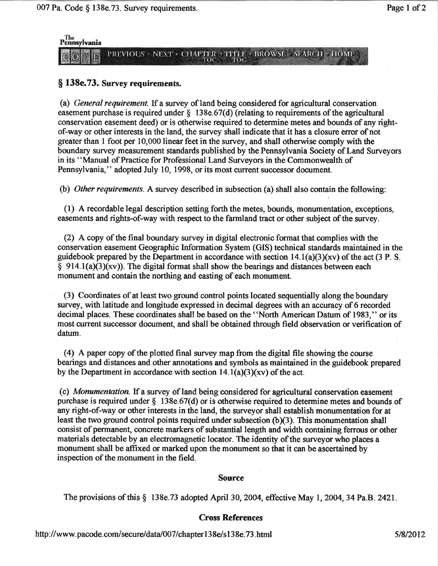

### § 138e.73. Survey requirements.

(a) General requirement. If a survey of land being considered for agricultural conservation easement purchase is required under  $\S$  138e.67(d) (relating to requirements of the agricultural conservation easement deed) or is otherwise required to determine metes and bounds of any rightof-way or other interests in the land, the survey shall indicate that it has a closure error of not greater than 1 foot per 10,000 linear feet in the survey, and shall otherwise comply with the boundary survey measurement standards published by the Pennsylvania Society of Land Surveyors in its "Manual of Practice for Professional Land Surveyors in the Commonwealth of Pennsylvania," adopted July 10, 1998, or its most current successor document.

(b) Other requirements. A survey described in subsection (a) shall also contain the following:

(1) A recordable legal description setting forth the metes, bounds, monumentation, exceptions, easements and rights-of-way with respect to the farmland tract or other subject of the survey.

(2) A copy of the final boundary survey in digital electronic format that complies with the conservation easement Geographic Information System (GIS) technical standards maintained in the guidebook prepared by the Department in accordance with section  $14.1(a)(3)(xy)$  of the act (3 P. S.  $\S$  914.1(a)(3)(xv)). The digital format shall show the bearings and distances between each monument and contain the northing and easting of each monument.

(3) Coordinates of at least two ground control points located sequentially along the boundary survey, with latitude and longitude expressed in decimal degrees with an accuracy of 6 recorded decimal places. These coordinates shall be based on the "North American Datum of 1983," or its most current successor document, and shall be obtained through field observation or verification of datum.

(4) A paper copy of the plotted final survey map from the digital file showing the course bearings and distances and other annotations and symbols as maintained in the guidebook prepared by the Department in accordance with section  $14.1(a)(3)(xy)$  of the act.

(c) *Monumentation*. If a survey of land being considered for agricultural conservation easement purchase is required under  $\S$  138e.67(d) or is otherwise required to determine metes and bounds of any right-of-way or other interests in the land, the survey or shall establish monumentation for at least the two ground control points required under subsection  $(b)(3)$ . This monumentation shall consist of permanent, concrete markers of substantial length and width containing ferrous or other materials detectable by an electromagnetic locator. The identity of the surveyor who places a monument shall be affixed or marked upon the monument so that it can be ascertained by inspection of the monument in the field.

#### **Source**

The provisions of this  $\S$  138e.73 adopted April 30, 2004, effective May 1, 2004, 34 Pa.B. 2421.

#### **Cross References**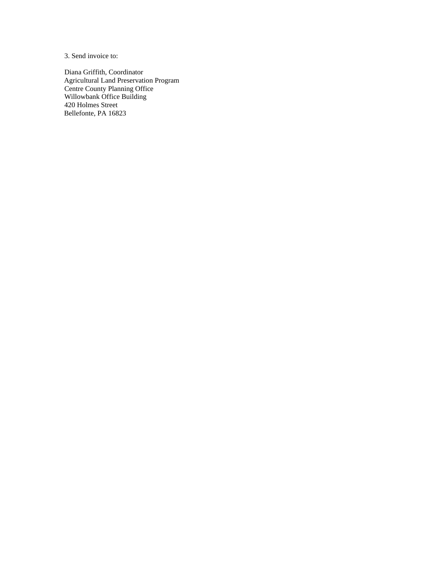3. Send invoice to:

Diana Griffith, Coordinator Agricultural Land Preservation Program Centre County Planning Office Willowbank Office Building 420 Holmes Street Bellefonte, PA 16823